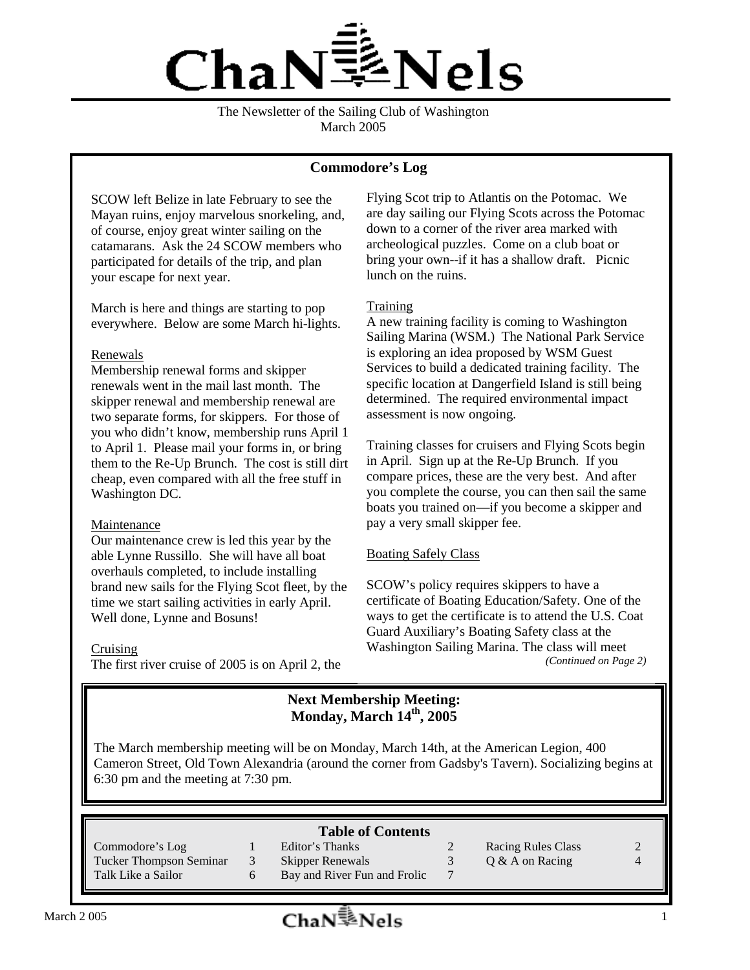

The Newsletter of the Sailing Club of Washington March 2005

### **Commodore's Log**

SCOW left Belize in late February to see the Mayan ruins, enjoy marvelous snorkeling, and, of course, enjoy great winter sailing on the catamarans. Ask the 24 SCOW members who participated for details of the trip, and plan your escape for next year.

March is here and things are starting to pop everywhere. Below are some March hi-lights.

#### Renewals

Membership renewal forms and skipper renewals went in the mail last month. The skipper renewal and membership renewal are two separate forms, for skippers. For those of you who didn't know, membership runs April 1 to April 1. Please mail your forms in, or bring them to the Re-Up Brunch. The cost is still dirt cheap, even compared with all the free stuff in Washington DC.

### Maintenance

Our maintenance crew is led this year by the able Lynne Russillo. She will have all boat overhauls completed, to include installing brand new sails for the Flying Scot fleet, by the time we start sailing activities in early April. Well done, Lynne and Bosuns!

#### Cruising

The first river cruise of 2005 is on April 2, the

Flying Scot trip to Atlantis on the Potomac. We are day sailing our Flying Scots across the Potomac down to a corner of the river area marked with archeological puzzles. Come on a club boat or bring your own--if it has a shallow draft. Picnic lunch on the ruins.

### **Training**

A new training facility is coming to Washington Sailing Marina (WSM.) The National Park Service is exploring an idea proposed by WSM Guest Services to build a dedicated training facility. The specific location at Dangerfield Island is still being determined. The required environmental impact assessment is now ongoing.

Training classes for cruisers and Flying Scots begin in April. Sign up at the Re-Up Brunch. If you compare prices, these are the very best. And after you complete the course, you can then sail the same boats you trained on—if you become a skipper and pay a very small skipper fee.

### Boating Safely Class

SCOW's policy requires skippers to have a certificate of Boating Education/Safety. One of the ways to get the certificate is to attend the U.S. Coat Guard Auxiliary's Boating Safety class at the Washington Sailing Marina. The class will meet *(Continued on Page 2)*

### **Next Membership Meeting: Monday, March 14th, 2005**

The March membership meeting will be on Monday, March 14th, at the American Legion, 400 Cameron Street, Old Town Alexandria (around the corner from Gadsby's Tavern). Socializing begins at 6:30 pm and the meeting at 7:30 pm.

### **Table of Contents**

Commodore's Log 1 Editor's Thanks 2 Racing Rules Class 2 Tucker Thompson Seminar 3 Skipper Renewals 3 Q & A on Racing 4 Talk Like a Sailor 6 Bay and River Fun and Frolic 7

- -

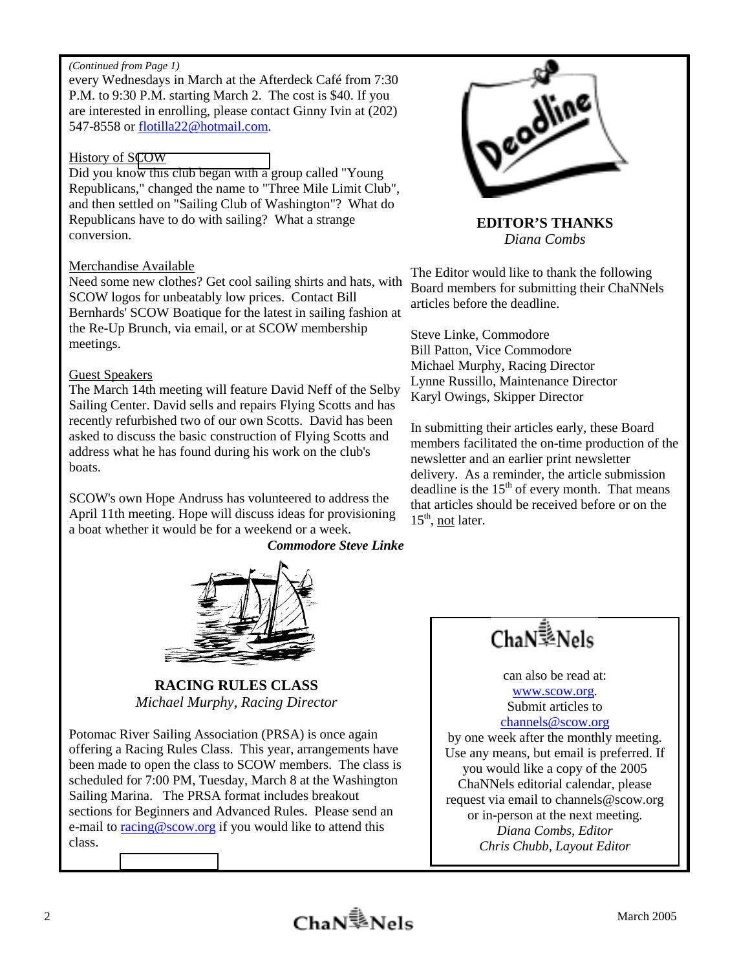### *(Continued from Page 1)*

every Wednesdays in March at the Afterdeck Café from 7:30 P.M. to 9:30 P.M. starting March 2. The cost is \$40. If you are interested in enrolling, please contact Ginny Ivin at (202) 547-8558 or flotilla22@hotmail.com.

### History of S[COW](http://mailcenter2.comcast.net/wmc/v/wm/420ED969000B67DA0000595B2200758942CECFCF9C0D03010C0B?cmd=ComposeTo&adr=flotilla22%40hotmail%2Ecom&sid=c0)

Did you know this club began with a group called "Young Republicans," changed the name to "Three Mile Limit Club", and then settled on "Sailing Club of Washington"? What do Republicans have to do with sailing? What a strange conversion.

## Merchandise Available

Need some new clothes? Get cool sailing shirts and hats, with SCOW logos for unbeatably low prices. Contact Bill Bernhards' SCOW Boatique for the latest in sailing fashion at the Re-Up Brunch, via email, or at SCOW membership meetings.

### Guest Speakers

The March 14th meeting will feature David Neff of the Selby Sailing Center. David sells and repairs Flying Scotts and has recently refurbished two of our own Scotts. David has been asked to discuss the basic construction of Flying Scotts and address what he has found during his work on the club's boats.

SCOW's own Hope Andruss has volunteered to address the April 11th meeting. Hope will discuss ideas for provisioning a boat whether it would be for a weekend or a week.

*Commodore Steve Linke*



**RACING RULES CLASS**  *Michael Murphy, Racing Director*

Potomac River Sailing Association (PRSA) is once again offering a Racing Rules Class. This year, arrangements have been made to open the class to SCOW members. The class is scheduled for 7:00 PM, Tuesday, March 8 at the Washington Sailing Marina. The PRSA format includes breakout sections for Beginners and Advanced Rules. Please send an e-mail to racing@scow.org if you would like to attend this class.



**EDITOR'S THANKS**  *Diana Combs* 

The Editor would like to thank the following Board members for submitting their ChaNNels articles before the deadline.

Steve Linke, Commodore Bill Patton, Vice Commodore Michael Murphy, Racing Director Lynne Russillo, Maintenance Director Karyl Owings, Skipper Director

In submitting their articles early, these Board members facilitated the on-time production of the newsletter and an earlier print newsletter delivery. As a reminder, the article submission deadline is the  $15<sup>th</sup>$  of every month. That means that articles should be received before or on the  $15<sup>th</sup>$ , not later.



can also be read at: www.scow.org.

Submit articles to channels@scow.org

by one week after the monthly meeting. Use any means, but email is preferred. If you would like a copy of the 2005 ChaNNels editorial calendar, please request via email to channels@scow.org or in-person at the next meeting. *Diana Combs, Editor Chris Chubb, Layout Editor*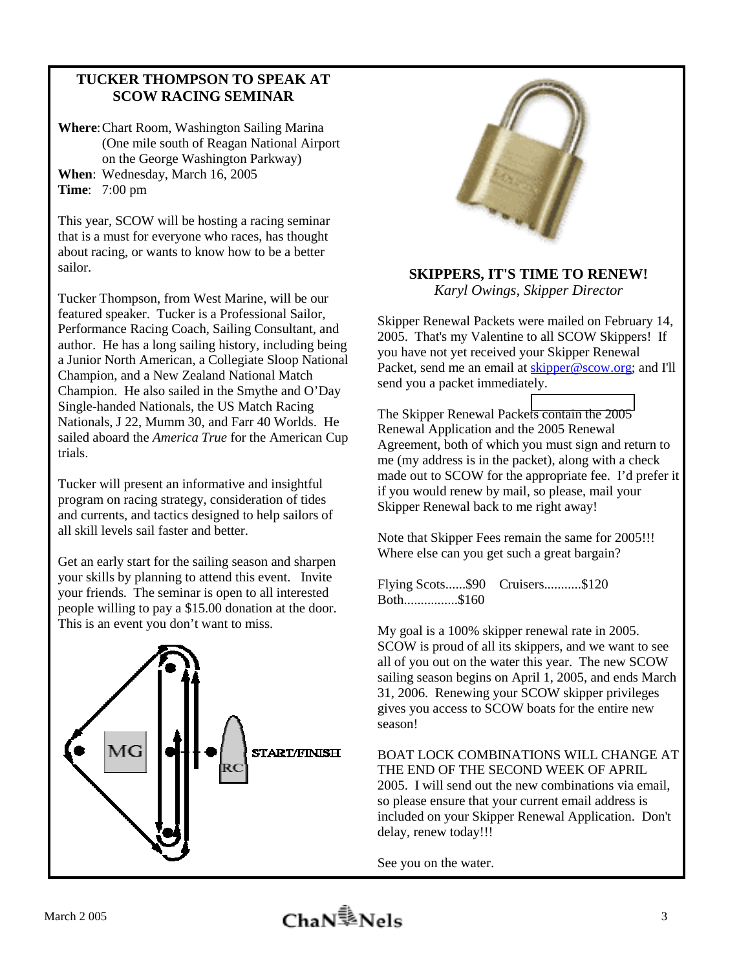# **TUCKER THOMPSON TO SPEAK AT SCOW RACING SEMINAR**

**Where**: Chart Room, Washington Sailing Marina (One mile south of Reagan National Airport on the George Washington Parkway) **When**: Wednesday, March 16, 2005 **Time**: 7:00 pm

This year, SCOW will be hosting a racing seminar that is a must for everyone who races, has thought about racing, or wants to know how to be a better sailor.

Tucker Thompson, from West Marine, will be our featured speaker. Tucker is a Professional Sailor, Performance Racing Coach, Sailing Consultant, and author. He has a long sailing history, including being a Junior North American, a Collegiate Sloop National Champion, and a New Zealand National Match Champion. He also sailed in the Smythe and O'Day Single-handed Nationals, the US Match Racing Nationals, J 22, Mumm 30, and Farr 40 Worlds. He sailed aboard the *America True* for the American Cup trials.

Tucker will present an informative and insightful program on racing strategy, consideration of tides and currents, and tactics designed to help sailors of all skill levels sail faster and better.

Get an early start for the sailing season and sharpen your skills by planning to attend this event. Invite your friends. The seminar is open to all interested people willing to pay a \$15.00 donation at the door. This is an event you don't want to miss.





## **SKIPPERS, IT'S TIME TO RENEW!**  *Karyl Owings, Skipper Director*

Skipper Renewal Packets were mailed on February 14, 2005. That's my Valentine to all SCOW Skippers! If you have not yet received your Skipper Renewal Packet, send me an email at skipper@scow.org; and I'll send you a packet immediately.

The Skipper Renewal Packe[ts contain the 2005](mailto:skipper@scow.org)  Renewal Application and the 2005 Renewal Agreement, both of which you must sign and return to me (my address is in the packet), along with a check made out to SCOW for the appropriate fee. I'd prefer it if you would renew by mail, so please, mail your Skipper Renewal back to me right away!

Note that Skipper Fees remain the same for 2005!!! Where else can you get such a great bargain?

Flying Scots......\$90 Cruisers...........\$120 Both................\$160

My goal is a 100% skipper renewal rate in 2005. SCOW is proud of all its skippers, and we want to see all of you out on the water this year. The new SCOW sailing season begins on April 1, 2005, and ends March 31, 2006. Renewing your SCOW skipper privileges gives you access to SCOW boats for the entire new season!

BOAT LOCK COMBINATIONS WILL CHANGE AT THE END OF THE SECOND WEEK OF APRIL 2005. I will send out the new combinations via email, so please ensure that your current email address is included on your Skipper Renewal Application. Don't delay, renew today!!!

See you on the water.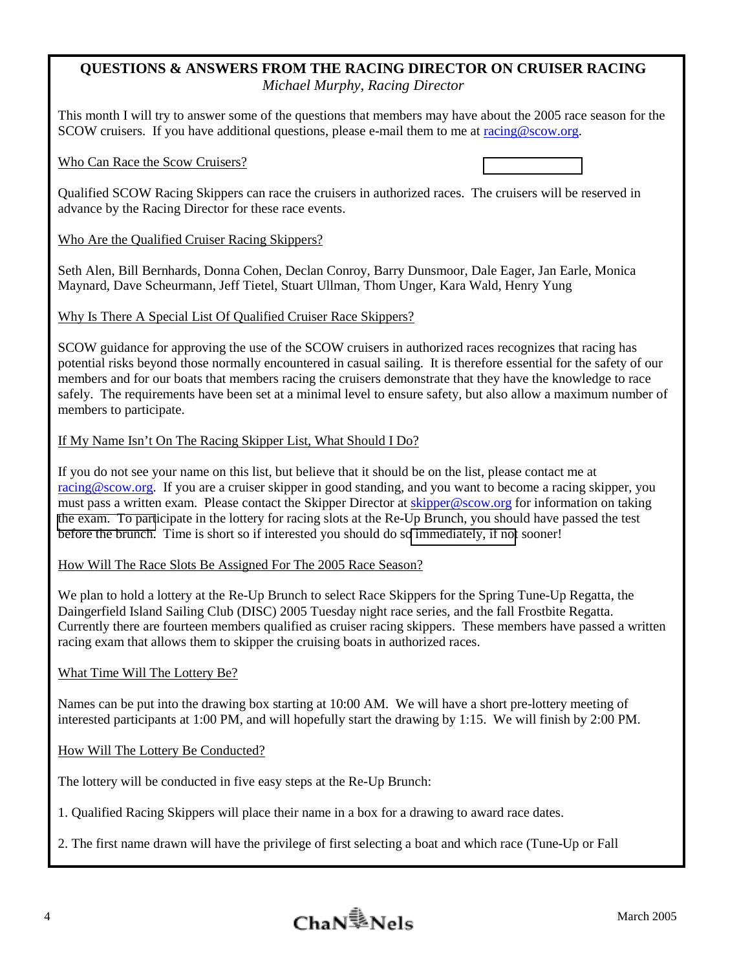# **QUESTIONS & ANSWERS FROM THE RACING DIRECTOR ON CRUISER RACING**  *Michael Murphy, Racing Director*

This month I will try to answer some of the questions that members may have about the 2005 race season for the SCOW cruisers. If you have additional questions, please e-mail them to me at racing@scow.org.

## Who Can Race the Scow Cruisers?

Qualified SCOW Racing Skippers can race the cruisers in authorized races. The cruisers will be reserved in advance by the Racing Director for these race events.

## Who Are the Qualified Cruiser Racing Skippers?

Seth Alen, Bill Bernhards, Donna Cohen, Declan Conroy, Barry Dunsmoor, Dale Eager, Jan Earle, Monica Maynard, Dave Scheurmann, Jeff Tietel, Stuart Ullman, Thom Unger, Kara Wald, Henry Yung

### Why Is There A Special List Of Qualified Cruiser Race Skippers?

SCOW guidance for approving the use of the SCOW cruisers in authorized races recognizes that racing has potential risks beyond those normally encountered in casual sailing. It is therefore essential for the safety of our members and for our boats that members racing the cruisers demonstrate that they have the knowledge to race safely. The requirements have been set at a minimal level to ensure safety, but also allow a maximum number of members to participate.

### If My Name Isn't On The Racing Skipper List, What Should I Do?

If you do not see your name on this list, but believe that it should be on the list, please contact me at racing@scow.org. If you are a cruiser skipper in good standing, and you want to become a racing skipper, you must pass a written exam. Please contact the Skipper Director at skipper@scow.org for information on taking [the exam. To part](mailto:Racing@scow.org)icipate in the lottery for racing slots at the Re-Up Brunch, you should have passed the test before the brunch. Time is short so if interested you should do s[o immediately, if not](mailto:skipper@scow.org) sooner!

### How Will The Race Slots Be Assigned For The 2005 Race Season?

We plan to hold a lottery at the Re-Up Brunch to select Race Skippers for the Spring Tune-Up Regatta, the Daingerfield Island Sailing Club (DISC) 2005 Tuesday night race series, and the fall Frostbite Regatta. Currently there are fourteen members qualified as cruiser racing skippers. These members have passed a written racing exam that allows them to skipper the cruising boats in authorized races.

### What Time Will The Lottery Be?

Names can be put into the drawing box starting at 10:00 AM. We will have a short pre-lottery meeting of interested participants at 1:00 PM, and will hopefully start the drawing by 1:15. We will finish by 2:00 PM.

## How Will The Lottery Be Conducted?

The lottery will be conducted in five easy steps at the Re-Up Brunch:

1. Qualified Racing Skippers will place their name in a box for a drawing to award race dates.

2. The first name drawn will have the privilege of first selecting a boat and which race (Tune-Up or Fall

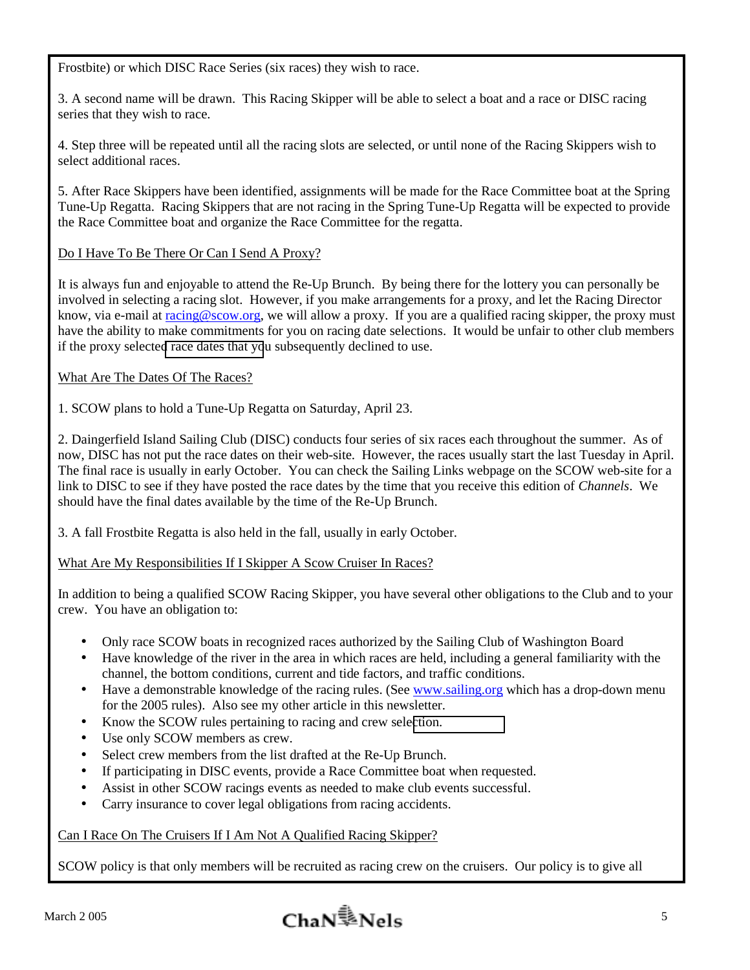Frostbite) or which DISC Race Series (six races) they wish to race.

3. A second name will be drawn. This Racing Skipper will be able to select a boat and a race or DISC racing series that they wish to race.

4. Step three will be repeated until all the racing slots are selected, or until none of the Racing Skippers wish to select additional races.

5. After Race Skippers have been identified, assignments will be made for the Race Committee boat at the Spring Tune-Up Regatta. Racing Skippers that are not racing in the Spring Tune-Up Regatta will be expected to provide the Race Committee boat and organize the Race Committee for the regatta.

# Do I Have To Be There Or Can I Send A Proxy?

It is always fun and enjoyable to attend the Re-Up Brunch. By being there for the lottery you can personally be involved in selecting a racing slot. However, if you make arrangements for a proxy, and let the Racing Director know, via e-mail at racing@scow.org, we will allow a proxy. If you are a qualified racing skipper, the proxy must have the ability to make commitments for you on racing date selections. It would be unfair to other club members if the proxy selecte[d race dates that yo](mailto:racing@scow.org)u subsequently declined to use.

# What Are The Dates Of The Races?

1. SCOW plans to hold a Tune-Up Regatta on Saturday, April 23.

2. Daingerfield Island Sailing Club (DISC) conducts four series of six races each throughout the summer. As of now, DISC has not put the race dates on their web-site. However, the races usually start the last Tuesday in April. The final race is usually in early October. You can check the Sailing Links webpage on the SCOW web-site for a link to DISC to see if they have posted the race dates by the time that you receive this edition of *Channels*. We should have the final dates available by the time of the Re-Up Brunch.

3. A fall Frostbite Regatta is also held in the fall, usually in early October.

What Are My Responsibilities If I Skipper A Scow Cruiser In Races?

In addition to being a qualified SCOW Racing Skipper, you have several other obligations to the Club and to your crew. You have an obligation to:

- Only race SCOW boats in recognized races authorized by the Sailing Club of Washington Board
- Have knowledge of the river in the area in which races are held, including a general familiarity with the channel, the bottom conditions, current and tide factors, and traffic conditions.
- Have a demonstrable knowledge of the racing rules. (See www.sailing.org which has a drop-down menu for the 2005 rules). Also see my other article in this newsletter.
- Know the SCOW rules pertaining to racing and crew selection.
- Use only SCOW members as crew.
- Select crew members from the list drafted at the Re-Up Brunch.
- If participating in DISC events, provide a Race Committee boat when requested.
- Assist in other SCOW racings events as needed to make club events successful.
- Carry insurance to cover legal obligations from racing accidents.

## Can I Race On The Cruisers If I Am Not A Qualified Racing Skipper?

SCOW policy is that only members will be recruited as racing crew on the cruisers. Our policy is to give all

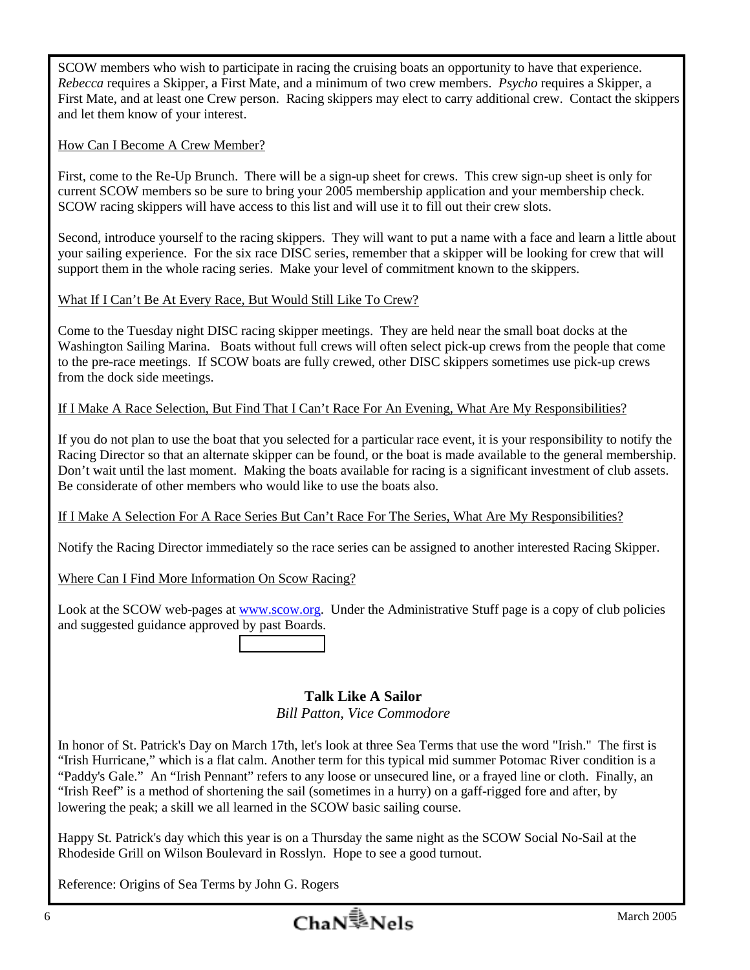SCOW members who wish to participate in racing the cruising boats an opportunity to have that experience. *Rebecca* requires a Skipper, a First Mate, and a minimum of two crew members. *Psycho* requires a Skipper, a First Mate, and at least one Crew person. Racing skippers may elect to carry additional crew. Contact the skippers and let them know of your interest.

# How Can I Become A Crew Member?

First, come to the Re-Up Brunch. There will be a sign-up sheet for crews. This crew sign-up sheet is only for current SCOW members so be sure to bring your 2005 membership application and your membership check. SCOW racing skippers will have access to this list and will use it to fill out their crew slots.

Second, introduce yourself to the racing skippers. They will want to put a name with a face and learn a little about your sailing experience. For the six race DISC series, remember that a skipper will be looking for crew that will support them in the whole racing series. Make your level of commitment known to the skippers.

# What If I Can't Be At Every Race, But Would Still Like To Crew?

Come to the Tuesday night DISC racing skipper meetings. They are held near the small boat docks at the Washington Sailing Marina. Boats without full crews will often select pick-up crews from the people that come to the pre-race meetings. If SCOW boats are fully crewed, other DISC skippers sometimes use pick-up crews from the dock side meetings.

# If I Make A Race Selection, But Find That I Can't Race For An Evening, What Are My Responsibilities?

If you do not plan to use the boat that you selected for a particular race event, it is your responsibility to notify the Racing Director so that an alternate skipper can be found, or the boat is made available to the general membership. Don't wait until the last moment. Making the boats available for racing is a significant investment of club assets. Be considerate of other members who would like to use the boats also.

## If I Make A Selection For A Race Series But Can't Race For The Series, What Are My Responsibilities?

Notify the Racing Director immediately so the race series can be assigned to another interested Racing Skipper.

# Where Can I Find More Information On Scow Racing?

Look at the SCOW web-pages at www.scow.org. Under the Administrative Stuff page is a copy of club policies and suggested guidance approved by past Boards.

# **Talk Like A Sailor**

## *Bill Patton, Vice Commodore*

In honor of St. Patrick's Day on March 17th, let's look at three Sea Terms that use the word "Irish." The first is "Irish Hurricane," which is a flat calm. Another term for this typical mid summer Potomac River condition is a "Paddy's Gale." An "Irish Pennant" refers to any loose or unsecured line, or a frayed line or cloth. Finally, an "Irish Reef" is a method of shortening the sail (sometimes in a hurry) on a gaff-rigged fore and after, by lowering the peak; a skill we all learned in the SCOW basic sailing course.

Happy St. Patrick's day which this year is on a Thursday the same night as the SCOW Social No-Sail at the Rhodeside Grill on Wilson Boulevard in Rosslyn. Hope to see a good turnout.

Reference: Origins of Sea Terms by John G. Rogers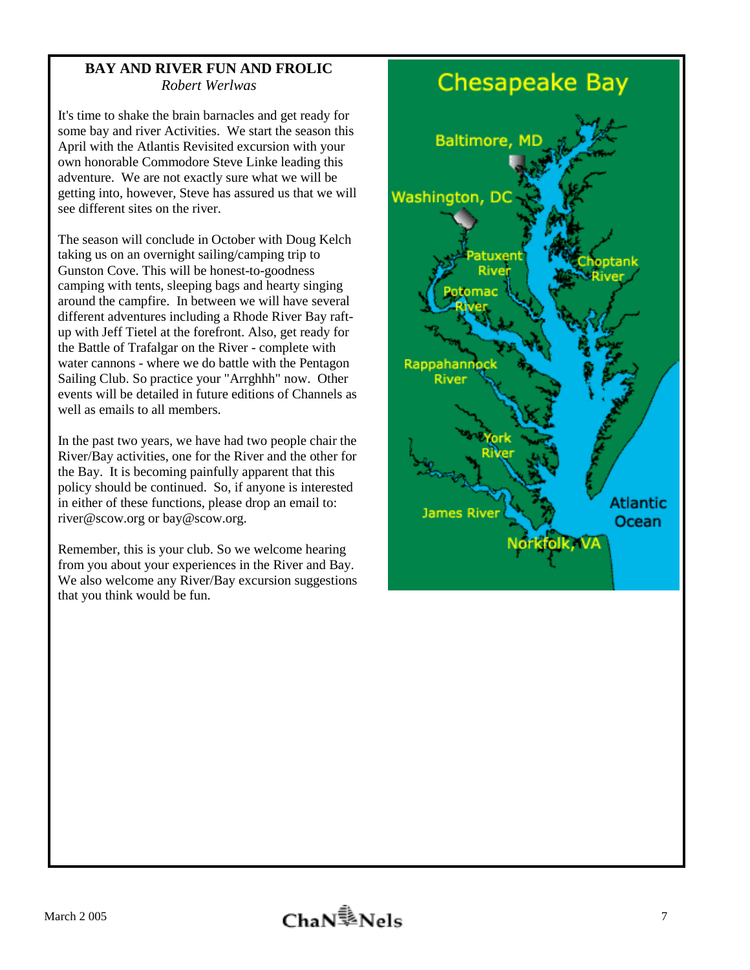# **BAY AND RIVER FUN AND FROLIC**  *Robert Werlwas*

It's time to shake the brain barnacles and get ready for some bay and river Activities. We start the season this April with the Atlantis Revisited excursion with your own honorable Commodore Steve Linke leading this adventure. We are not exactly sure what we will be getting into, however, Steve has assured us that we will see different sites on the river.

The season will conclude in October with Doug Kelch taking us on an overnight sailing/camping trip to Gunston Cove. This will be honest-to-goodness camping with tents, sleeping bags and hearty singing around the campfire. In between we will have several different adventures including a Rhode River Bay raftup with Jeff Tietel at the forefront. Also, get ready for the Battle of Trafalgar on the River - complete with water cannons - where we do battle with the Pentagon Sailing Club. So practice your "Arrghhh" now. Other events will be detailed in future editions of Channels as well as emails to all members.

In the past two years, we have had two people chair the River/Bay activities, one for the River and the other for the Bay. It is becoming painfully apparent that this policy should be continued. So, if anyone is interested in either of these functions, please drop an email to: river@scow.org or bay@scow.org.

Remember, this is your club. So we welcome hearing from you about your experiences in the River and Bay. We also welcome any River/Bay excursion suggestions that you think would be fun.